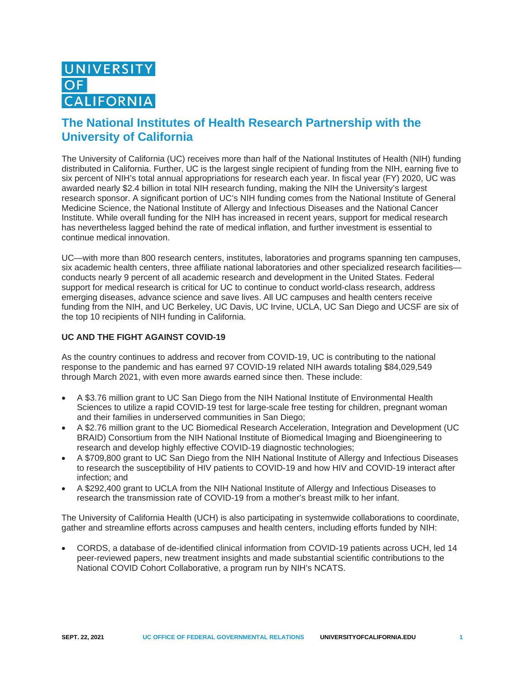## **The National Institutes of Health Research Partnership with the University of California**

The University of California (UC) receives more than half of the National Institutes of Health (NIH) funding distributed in California. Further, UC is the largest single recipient of funding from the NIH, earning five to six percent of NIH's total annual appropriations for research each year. In fiscal year (FY) 2020, UC was awarded nearly \$2.4 billion in total NIH research funding, making the NIH the University's largest research sponsor. A significant portion of UC's NIH funding comes from the National Institute of General Medicine Science, the National Institute of Allergy and Infectious Diseases and the National Cancer Institute. While overall funding for the NIH has increased in recent years, support for medical research has nevertheless lagged behind the rate of medical inflation, and further investment is essential to continue medical innovation.

UC—with more than 800 research centers, institutes, laboratories and programs spanning ten campuses, six academic health centers, three affiliate national laboratories and other specialized research facilities conducts nearly 9 percent of all academic research and development in the United States. Federal support for medical research is critical for UC to continue to conduct world-class research, address emerging diseases, advance science and save lives. All UC campuses and health centers receive funding from the NIH, and UC Berkeley, UC Davis, UC Irvine, UCLA, UC San Diego and UCSF are six of the top 10 recipients of NIH funding in California.

## **UC AND THE FIGHT AGAINST COVID-19**

As the country continues to address and recover from COVID-19, UC is contributing to the national response to the pandemic and has earned 97 COVID-19 related NIH awards totaling \$84,029,549 through March 2021, with even more awards earned since then. These include:

- A \$3.76 million grant to UC San Diego from the NIH National Institute of Environmental Health Sciences to utilize a rapid COVID-19 test for large-scale free testing for children, pregnant woman and their families in underserved communities in San Diego;
- A \$2.76 million grant to the UC Biomedical Research Acceleration, Integration and Development (UC BRAID) Consortium from the NIH National Institute of Biomedical Imaging and Bioengineering to research and develop highly effective COVID-19 diagnostic technologies;
- A \$709,800 grant to UC San Diego from the NIH National Institute of Allergy and Infectious Diseases to research the susceptibility of HIV patients to COVID-19 and how HIV and COVID-19 interact after infection; and
- A \$292,400 grant to UCLA from the NIH National Institute of Allergy and Infectious Diseases to research the transmission rate of COVID-19 from a mother's breast milk to her infant.

The University of California Health (UCH) is also participating in systemwide collaborations to coordinate, gather and streamline efforts across campuses and health centers, including efforts funded by NIH:

• CORDS, a database of de-identified clinical information from COVID-19 patients across UCH, led 14 peer-reviewed papers, new treatment insights and made substantial scientific contributions to the National COVID Cohort Collaborative, a program run by NIH's NCATS.